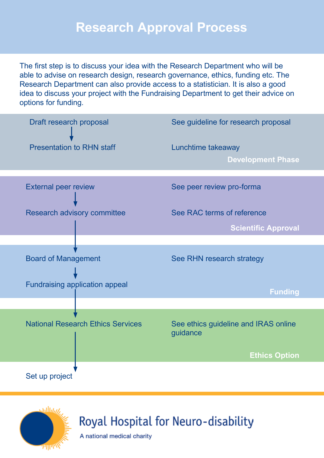## **Research Approval Process**

The first step is to discuss your idea with the Research Department who will be able to advise on research design, research governance, ethics, funding etc. The Research Department can also provide access to a statistician. It is also a good idea to discuss your project with the Fundraising Department to get their advice on options for funding.





Royal Hospital for Neuro-disability

A national medical charity